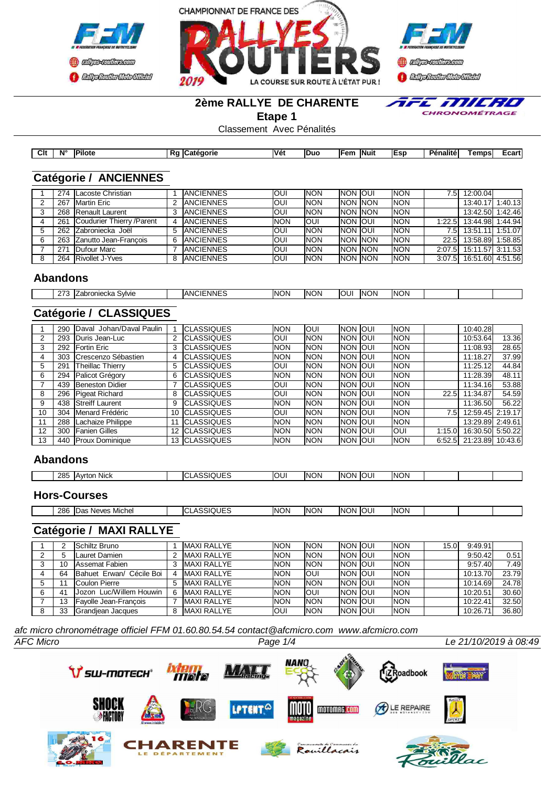





#### **2ème RALLYE DE CHARENTE**

**Etape 1**

E MILRIO  $\bar{\mathbf{z}}$ CHRONOMÉTRAGE

Classement Avec Pénalités

| Clt | Ν° | <b>IPilote</b> | eaorie<br>Р0<br>…ater<br>KL. | <b>Véi</b> | Duc | <b>IFen</b> | <b>Nuit</b> | . .<br>. | Penalite. | ⊺emps | ∠cartl |
|-----|----|----------------|------------------------------|------------|-----|-------------|-------------|----------|-----------|-------|--------|

## **Catégorie / ANCIENNES**

| 274 | Lacoste Christian          |   | <b>JANCIENNES</b> | <b>OUI</b> | <b>NON</b> | <b>INON JOUL</b> | <b>INON</b> | '.5I   | 12:00.04         |  |
|-----|----------------------------|---|-------------------|------------|------------|------------------|-------------|--------|------------------|--|
| 267 | Martin Eric                |   | <b>JANCIENNES</b> | <b>OUI</b> | <b>NON</b> | <b>INON INON</b> | <b>INON</b> |        | 13:40.17 1:40.13 |  |
|     | 268 Renault Laurent        |   | <b>IANCIENNES</b> | <b>OUI</b> | <b>NON</b> | <b>INON INON</b> | <b>INON</b> |        | 13:42.50 1:42.46 |  |
| 261 | Coudurier Thierry / Parent |   | <b>JANCIENNES</b> | <b>NON</b> | IOUI       | <b>INON JOUI</b> | <b>INON</b> | 1:22.5 | 13:44.98 1:44.94 |  |
| 262 | Zabroniecka Joël           |   | <b>JANCIENNES</b> | <b>OUI</b> | <b>NON</b> | <b>INON JOUL</b> | <b>INON</b> | 7.51   | 13:51.11 1:51.07 |  |
|     | 263 Zanutto Jean-Francois  | 6 | <b>ANCIENNES</b>  | <b>OUI</b> | <b>NON</b> | <b>INON INON</b> | <b>INON</b> | 22.5I  | 13:58.89 1:58.85 |  |
| 271 | Dufour Marc                |   | <b>ANCIENNES</b>  | <b>OUI</b> | <b>NON</b> | <b>INON INON</b> | <b>INON</b> | 2:07.5 | 15:11.57 3:11.53 |  |
| 264 | <b>Rivollet J-Yves</b>     |   | <b>ANCIENNES</b>  | <b>OUI</b> | <b>NON</b> | <b>INON INON</b> | <b>INON</b> | 3:07.5 | 16:51.60 4:51.56 |  |

#### **Abandons**

| -77<br>maximize<br>הוויות:<br>OVIVIE<br>uno<br>יסוו<br>- | _NNF<br>.,<br>∣∆NIC<br><br>$\sim$ | <b>NON</b> | <b>NON</b> | ΟU | <b>INON</b> | <b>INON</b><br>וחר |  |  |
|----------------------------------------------------------|-----------------------------------|------------|------------|----|-------------|--------------------|--|--|
|                                                          |                                   |            |            |    |             |                    |  |  |
|                                                          |                                   |            |            |    |             |                    |  |  |

## **Catégorie / CLASSIQUES**

|    | 290 | Daval Johan/Daval Paulin    |   | <b>ICLASSIQUES</b>    | <b>NON</b> | IOUI       | <b>NON JOUL</b> | <b>INON</b> |        | 10:40.28                |       |
|----|-----|-----------------------------|---|-----------------------|------------|------------|-----------------|-------------|--------|-------------------------|-------|
|    | 293 | Duris Jean-Luc              |   | <b>ICLASSIQUES</b>    | OUI        | <b>NON</b> | Inon Ioui       | <b>INON</b> |        | 10:53.64                | 13.36 |
| 3  | 292 | <b>Fortin Eric</b>          |   | <b>ICLASSIQUES</b>    | <b>NON</b> | <b>NON</b> | Inon Ioui       | <b>INON</b> |        | 11:08.93                | 28.65 |
| 4  | 303 | <b>ICrescenzo Sébastien</b> | 4 | <b>ICLASSIQUES</b>    | <b>NON</b> | <b>NON</b> | Inon Ioui       | <b>INON</b> |        | 11:18.27                | 37.99 |
| 5  | 291 | Theillac Thierry            | 5 | <b>CLASSIQUES</b>     | OUI        | <b>NON</b> | Inon Ioui       | <b>INON</b> |        | 11:25.12                | 44.84 |
| 6  | 294 | Palicot Grégory             | 6 | <b>CLASSIQUES</b>     | <b>NON</b> | <b>NON</b> | Inon Ioui       | <b>INON</b> |        | 11:28.39                | 48.11 |
|    | 439 | <b>Beneston Didier</b>      |   | <b>ICLASSIQUES</b>    | OUI        | <b>NON</b> | Inon Ioui       | <b>INON</b> |        | 11:34.16                | 53.88 |
| 8  | 296 | Pigeat Richard              | 8 | <b>ICLASSIQUES</b>    | OUI        | <b>NON</b> | Inon Ioui       | <b>INON</b> | 22.5   | 11:34.87                | 54.59 |
| 9  | 438 | <b>IStreiff Laurent</b>     | 9 | <b>ICLASSIQUES</b>    | <b>NON</b> | <b>NON</b> | Inon Ioui       | <b>INON</b> |        | 11:36.50                | 56.22 |
| 10 | 304 | Menard Frédéric             |   | 10 <b>ICLASSIQUES</b> | OUI        | <b>NON</b> | Inon Ioui       | <b>INON</b> | 7.5I   | 12:59.45 2:19.17        |       |
|    | 288 | Lachaize Philippe           |   | <b>ICLASSIQUES</b>    | <b>NON</b> | <b>NON</b> | Inon Ioui       | <b>INON</b> |        | 13:29.89 2:49.61        |       |
| 12 | 300 | <b>IFanien Gilles</b>       |   | <b>ICLASSIQUES</b>    | <b>NON</b> | <b>NON</b> | Inon Ioui       | loui        | 1:15.0 | 16:30.50 5:50.22        |       |
| 13 |     | 440   Proux Dominique       |   | 13 CLASSIQUES         | <b>NON</b> | <b>NON</b> | INON JOUI       | <b>INON</b> |        | 6:52.5 21:23.89 10:43.6 |       |

### **Abandons**

| 285<br>ı Nick<br>. Avrtor<br>. | 3IOUE:<br>$\sim$<br>ימו<br>$\cdot$<br>—. | IOUI | <b>NON</b> | <b>INON</b> | IOUI | <b>INON</b> |  |  |
|--------------------------------|------------------------------------------|------|------------|-------------|------|-------------|--|--|

#### **Hors-Courses**

| SIQUES<br><b>NON</b><br>286<br><b>INON</b><br>IC<br>INC<br><b>INON</b><br>IDa<br>'N<br>IOU.<br>Michel<br><b>Neves</b><br>__ |
|-----------------------------------------------------------------------------------------------------------------------------|
|-----------------------------------------------------------------------------------------------------------------------------|

# **Catégorie / MAXI RALLYE**

|   |     | <b>ISchiltz Bruno</b>        |   | <b>IMAXI RALLYE</b> | <b>NON</b> | <b>NON</b> | <b>INON JOUL</b> | <b>INON</b> | 15.OI | 9:49.91  |       |
|---|-----|------------------------------|---|---------------------|------------|------------|------------------|-------------|-------|----------|-------|
|   |     | Lauret Damien                | 2 | <b>IMAXI RALLYE</b> | <b>NON</b> | <b>NON</b> | <b>INON JOUI</b> | <b>INON</b> |       | 9:50.42  | 0.511 |
|   | 1 C | Assemat Fabien               | 3 | MAXI RALLYE         | <b>NON</b> | <b>NON</b> | <b>INON JOUL</b> | <b>INON</b> |       | 9:57.40  | 7.491 |
|   | 64  | IBahuet Erwan/ Cécile Boi    | 4 | <b>IMAXI RALLYE</b> | <b>NON</b> | IOUI       | <b>INON JOUI</b> | <b>INON</b> |       | 10:13.70 | 23.79 |
|   |     | <b>ICoulon Pierre</b>        | 5 | <b>MAXI RALLYE</b>  | <b>NON</b> | <b>NON</b> | <b>INON JOUL</b> | <b>INON</b> |       | 10:14.69 | 24.78 |
| 6 | 41  | Uozon Luc/Willem Houwin      | 6 | <b>MAXI RALLYE</b>  | <b>NON</b> | IOUI       | <b>INON JOUL</b> | <b>INON</b> |       | 10:20.51 | 30.60 |
|   | 13  | <b>Fayolle Jean-Francois</b> |   | <b>MAXI RALLYE</b>  | <b>NON</b> | <b>NON</b> | <b>INON JOUL</b> | <b>INON</b> |       | 10:22.41 | 32.50 |
| 8 | 33  | Grandjean Jacques            | 8 | <b>IMAXI RALLYE</b> | <b>OUI</b> | <b>NON</b> | <b>INON JOUI</b> | <b>INON</b> |       | 10:26.7  | 36.80 |

*afc micro chronométrage officiel FFM 01.60.80.54.54 contact@afcmicro.com www.afcmicro.com*

*AFC Micro Page 1/4 Le 21/10/2019 à 08:49*

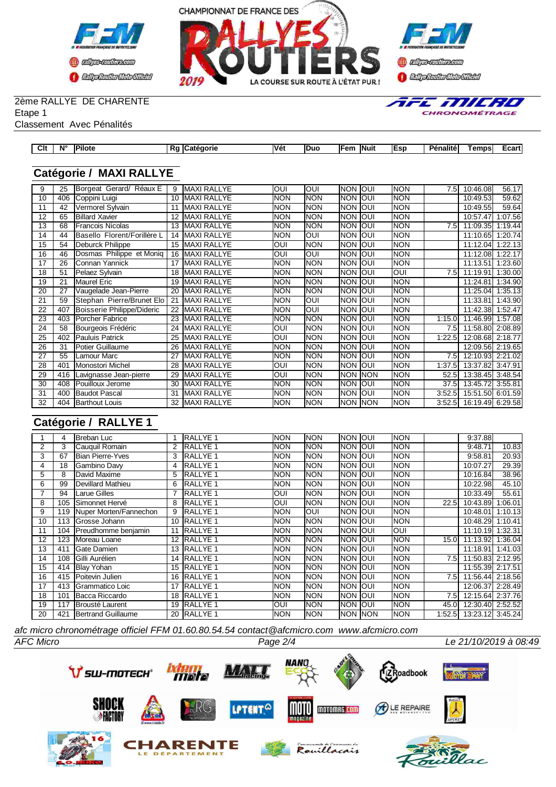



# 2ème RALLYE DE CHARENTE

fific Millino CHRONOMÉTRAGE

Etape 1 Classement Avec Pénalités

| lassement Avec Penalités |  |
|--------------------------|--|
|                          |  |

| Clt<br>$\sim$ | $N^{\circ}$ | .<br>™ilote | aorie<br>Cated | Vét | Duc | lFem<br>$\sim$ | <b>Nuit</b><br>____ | <b>IEsp</b> | .<br>Dár.<br>enalite | emps | ⊏cart'<br>____ |
|---------------|-------------|-------------|----------------|-----|-----|----------------|---------------------|-------------|----------------------|------|----------------|
|               |             |             |                |     |     |                |                     |             |                      |      |                |

## **Catégorie / MAXI RALLYE**

| 9  | 25  | Borgeat Gerard/ Réaux E     | 9              | <b>MAXI RALLYE</b> | OUI        | OUI        | Inon        | loui | Inon        | 7.5    | 10:46.08         | 56.17   |
|----|-----|-----------------------------|----------------|--------------------|------------|------------|-------------|------|-------------|--------|------------------|---------|
| 10 | 406 | Coppini Luigi               | 10             | <b>MAXI RALLYE</b> | <b>NON</b> | <b>NON</b> | INON        | loui | <b>NON</b>  |        | 10:49.53         | 59.62   |
| 11 | 42  | Vermorel Sylvain            | 11             | <b>MAXI RALLYE</b> | <b>NON</b> | <b>NON</b> | INON        | loui | Inon        |        | 10:49.55         | 59.64   |
| 12 | 65  | <b>Billard Xavier</b>       | 12             | <b>MAXI RALLYE</b> | <b>NON</b> | <b>NON</b> | INON        | loui | <b>NON</b>  |        | 10:57.47         | 1:07.56 |
| 13 | 68  | <b>Francois Nicolas</b>     | 13             | <b>MAXI RALLYE</b> | <b>NON</b> | <b>NON</b> | Inon        | loui | Inon        | 7.5    | 11:09.35         | 1:19.44 |
| 14 | 44  | Basello Florent/Forillère L | 14             | <b>MAXI RALLYE</b> | <b>NON</b> | OUI        | NON         | loui | <b>NON</b>  |        | 11:10.65         | 1:20.74 |
| 15 | 54  | <b>Deburck Philippe</b>     | 15             | <b>MAXI RALLYE</b> | OUI        | <b>NON</b> | NON         | loui | Inon        |        | 11:12.04         | 1:22.13 |
| 16 | 46  | Dosmas Philippe et Moniq    | 16             | <b>MAXI RALLYE</b> | <b>OUI</b> | OUI        | Inon        | loui | Inon        |        | 11:12.08         | 1:22.17 |
| 17 | 26  | Connan Yannick              | 17             | <b>MAXI RALLYE</b> | <b>NON</b> | <b>NON</b> | NON         | loui | <b>NON</b>  |        | 11:13.51         | 1:23.60 |
| 18 | 51  | Pelaez Sylvain              | 18             | <b>MAXI RALLYE</b> | <b>NON</b> | <b>NON</b> | <b>INON</b> | loui | loui        | 7.5    | 11:19.91         | 1:30.00 |
| 19 | 21  | Maurel Eric                 | 19             | <b>MAXI RALLYE</b> | <b>NON</b> | <b>NON</b> | <b>NON</b>  | loui | <b>INON</b> |        | 11:24.81         | 1:34.90 |
| 20 | 27  | Vaugelade Jean-Pierre       | 20             | <b>MAXI RALLYE</b> | <b>NON</b> | <b>NON</b> | <b>NON</b>  | loui | <b>NON</b>  |        | 11:25.04         | 1:35.13 |
| 21 | 59  | Stephan Pierre/Brunet Elo   | 2 <sup>1</sup> | <b>MAXI RALLYE</b> | <b>NON</b> | <b>INO</b> | Inon        | loui | <b>INON</b> |        | 11:33.81         | 1:43.90 |
| 22 | 407 | Boisserie Philippe/Dideric  |                | <b>MAXI RALLYE</b> | <b>NON</b> | OUI        | <b>NON</b>  | loui | <b>INON</b> |        | 11:42.38         | 1:52.47 |
| 23 | 403 | <b>Porcher Fabrice</b>      | 23             | <b>MAXI RALLYE</b> | <b>NON</b> | <b>NON</b> | Inon        | loui | <b>NON</b>  | 1:15.0 | 11:46.99         | 1:57.08 |
| 24 | 58  | Bourgeois Frédéric          | 24             | <b>MAXI RALLYE</b> | <b>OUI</b> | <b>NON</b> | Inon        | loui | Inon        | 7.5    | 11:58.80         | 2:08.89 |
| 25 | 402 | Pauluis Patrick             | 25             | <b>MAXI RALLYE</b> | OUI        | <b>NON</b> | <b>INON</b> | loui | <b>NON</b>  | 1:22.5 | 12:08.68         | 2:18.77 |
| 26 | 31  | Potier Guillaume            | 26             | MAXI RALLYE        | <b>NON</b> | <b>NON</b> | Inon        | loui | Inon        |        | 12:09.56 2:19.65 |         |
| 27 | 55  | Lamour Marc                 | 27             | <b>MAXI RALLYE</b> | <b>NON</b> | <b>NON</b> | INON        | loui | <b>NON</b>  | 7.5    | 12:10.93         | 2:21.02 |
| 28 | 401 | <b>Monostori Michel</b>     | 28             | <b>MAXI RALLYE</b> | <b>OUI</b> | <b>NON</b> | Inon        | loui | <b>NON</b>  | 1:37.5 | 13:37.82         | 3:47.91 |
| 29 | 416 | Lavignasse Jean-pierre      | 29             | <b>MAXI RALLYE</b> | <b>OUI</b> | <b>NON</b> | Inon Inon   |      | <b>NON</b>  | 52.5l  | 13:38.45         | 3:48.54 |
| 30 | 408 | <b>IPouilloux Jerome</b>    | 30             | <b>MAXI RALLYE</b> | <b>NON</b> | <b>NON</b> | Inon Ioui   |      | <b>INON</b> | 37.5I  | 13:45.72         | 3:55.81 |
| 31 | 400 | <b>Baudot Pascal</b>        | 31             | <b>MAXI RALLYE</b> | <b>NON</b> | <b>NON</b> | Inon        | loui | <b>NON</b>  | 3:52.5 | 15:51.50         | 6:01.59 |
| 32 | 404 | <b>Barthout Louis</b>       | 32             | <b>MAXI RALLYE</b> | <b>NON</b> | <b>NON</b> | Inon Inon   |      | NON         | 3:52.5 | 16:19.49         | 6:29.58 |

## **Catégorie / RALLYE 1**

|                | 4   | IBreban Luc                |    | <b>RALLYE 1</b>  | <b>NON</b> | <b>NON</b> | Inon Ioui       |             | <b>NON</b> |                   | 9:37.88                   |         |
|----------------|-----|----------------------------|----|------------------|------------|------------|-----------------|-------------|------------|-------------------|---------------------------|---------|
| $\overline{2}$ | 3   | Cauquil Romain             | 2  | <b>RALLYE 1</b>  | <b>NON</b> | <b>NON</b> | <b>INON</b>     | <b>IOUI</b> | Inon       |                   | 9:48.71                   | 10.83   |
| 3              | 67  | <b>Bian Pierre-Yves</b>    | 3  | <b>RALLYE 1</b>  | <b>NON</b> | <b>NON</b> | <b>NON</b>      | loui        | <b>NON</b> |                   | 9:58.81                   | 20.93   |
| 4              | 18  | Gambino Davy               | 4  | <b>RALLYE 1</b>  | <b>NON</b> | <b>NON</b> | <b>NON</b>      | loui        | <b>NON</b> |                   | 10:07.27                  | 29.39   |
| 5              | 8   | David Maxime               | 5  | <b>RALLYE 1</b>  | <b>NON</b> | <b>NON</b> | <b>INON</b>     | loui        | <b>NON</b> |                   | 10:16.84                  | 38.96   |
| 6              | 99  | <b>I</b> Devillard Mathieu | 6  | <b>IRALLYE 1</b> | <b>NON</b> | <b>NON</b> | <b>INON</b>     | loui        | NON        |                   | 10:22.98                  | 45.10   |
| 7              | 94  | Larue Gilles               |    | <b>RALLYE 1</b>  | OUI        | <b>NON</b> | <b>INON</b>     | loui        | <b>NON</b> |                   | 10:33.49                  | 55.61   |
| 8              | 105 | <b>I</b> Simonnet Hervé    | 8  | <b>IRALLYE 1</b> | OUI        | <b>NON</b> | <b>NON</b>      | loui        | <b>NON</b> | 22.5I             | 10:43.89                  | 1:06.01 |
| 9              | 119 | Nuper Morten/Fannechon     | 9  | <b>RALLYE 1</b>  | <b>NON</b> | <b>OUI</b> | <b>INON</b>     | loui        | <b>NON</b> |                   | 10:48.01                  | 1:10.13 |
| 10             | 113 | <b>IGrosse Johann</b>      | 10 | <b>IRALLYE 1</b> | <b>NON</b> | <b>NON</b> | <b>INON</b>     | IOUI        | NON        |                   | 10:48.29                  | 1:10.41 |
| 11             | 104 | Preudhomme benjamin        | 11 | <b>RALLYE 1</b>  | <b>NON</b> | <b>NON</b> | <b>INON</b>     | loui        | Ioui       |                   | 11:10.19                  | 1:32.31 |
| 12             | 123 | Moreau Loane               | 12 | <b>RALLYE 1</b>  | <b>NON</b> | <b>NON</b> | <b>NON</b>      | loui        | <b>NON</b> | 15.0 <sub>l</sub> | 11:13.92                  | 1:36.04 |
| 13             | 411 | <b>IGate Damien</b>        | 13 | <b>RALLYE 1</b>  | <b>NON</b> | <b>NON</b> | <b>NON</b>      | loui        | <b>NON</b> |                   | 11:18.91                  | 1:41.03 |
| 14             | 108 | Gilli Aurélien             | 14 | <b>RALLYE 1</b>  | <b>NON</b> | <b>NON</b> | <b>INON</b>     | <b>IOUI</b> | <b>NON</b> | 7.5               | 11:50.83 2:12.95          |         |
| 15             | 414 | <b>Blay Yohan</b>          |    | 15 RALLYE 1      | <b>NON</b> | <b>NON</b> | <b>INON</b>     | loui        | <b>NON</b> |                   | 11:55.39 2:17.51          |         |
| 16             | 415 | <b>Poitevin Julien</b>     | 16 | <b>RALLYE 1</b>  | <b>NON</b> | <b>NON</b> | <b>NON</b>      | loui        | <b>NON</b> | 7.5               | 11:56.44 2:18.56          |         |
| 17             | 413 | <b>IGrammatico Loic</b>    | 17 | <b>RALLYE 1</b>  | <b>NON</b> | <b>NON</b> | <b>NON JOUI</b> |             | <b>NON</b> |                   | 12:06.37 2:28.49          |         |
| 18             | 101 | Bacca Riccardo             |    | 18 RALLYE 1      | <b>NON</b> | <b>NON</b> | <b>INON</b>     | loui        | <b>NON</b> | 7.5               | 12:15.64 2:37.76          |         |
| 19             | 117 | <b>IBrousté Laurent</b>    |    | 19 RALLYE 1      | <b>OUI</b> | <b>NON</b> | <b>INON</b>     | loui        | <b>NON</b> | 45.0I             | 12:30.40 2:52.52          |         |
| 20             | 421 | Bertrand Guillaume         |    | 20 RALLYE 1      | <b>NON</b> | <b>NON</b> | <b>NON NON</b>  |             | <b>NON</b> |                   | 1:52.5  13:23.12  3:45.24 |         |

*AFC Micro Page 2/4 Le 21/10/2019 à 08:49 afc micro chronométrage officiel FFM 01.60.80.54.54 contact@afcmicro.com www.afcmicro.com*

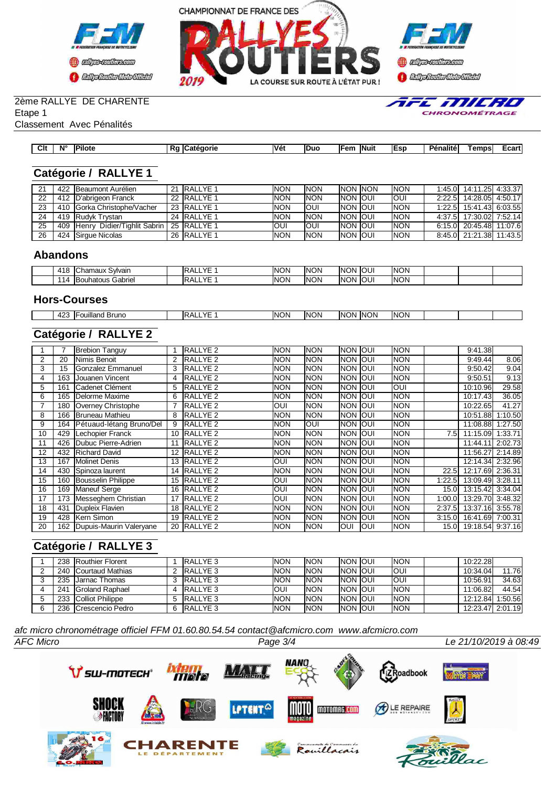





AFE MILRO

CHRONOMÉTRAGE

## 2ème RALLYE DE CHARENTE

Etape 1

Classement Avec Pénalités

| Clt | $N^{\circ}$ | יים! | - 16 | Véi | . | lFem | <b>INuit</b> | <b>IEsp</b> | DA.<br>nalite | emps | uai l |
|-----|-------------|------|------|-----|---|------|--------------|-------------|---------------|------|-------|
|     |             |      |      |     |   |      |              |             |               |      |       |

## **Catégorie / RALLYE 1**

| 21 | 422 Beaumont Aurélien           | 21 RALLYE 1         | <b>NON</b> | <b>NON</b> | INON INON        | <b>INON</b> | 1:45.0 14:11.25 4:33.37 |  |
|----|---------------------------------|---------------------|------------|------------|------------------|-------------|-------------------------|--|
| 22 | 412   D'abrigeon Franck         | 22 RALLYE 1         | <b>NON</b> | <b>NON</b> | <b>INON JOUL</b> | IOUI        | 2:22.5 14:28.05 4:50.17 |  |
| 23 | 410 Gorka Christophe/Vacher     | 23 <b>IRALLYE 1</b> | <b>NON</b> | IOUI       | <b>INON JOUL</b> | <b>INON</b> | 1:22.5 15:41.43 6:03.55 |  |
| 24 | 419 Rudyk Trystan               | 24 RALLYE 1         | <b>NON</b> | <b>NON</b> | <b>INON JOUL</b> | <b>INON</b> | 4:37.5 17:30.02 7:52.14 |  |
| 25 | 409 Henry Didier/Tighlit Sabrin | l 25 IRALLYE 1      | <b>OUI</b> | IOUI       | <b>INON JOUL</b> | <b>INON</b> | 6:15.0 20:45.48 11:07.6 |  |
| 26 | 424 Sirgue Nicolas              | 26 RALLYE 1         | <b>NON</b> | <b>NON</b> | <b>INON JOUI</b> | <b>INON</b> | 8:45.0 21:21.38 11:43.5 |  |

#### **Abandons**

| 418<br>ICł<br>: Svlvair<br>8888811Y<br>⊷<br>naux<br> | ∨⊏<br>・∽<br>IK.       | <b>NON</b> | INON<br><b>NON</b> | loui | <b>INON</b> |  |  |
|------------------------------------------------------|-----------------------|------------|--------------------|------|-------------|--|--|
| Gabriel<br>souhatous<br>LΔ                           | ∨⊏<br>╌<br>IK.<br>. . | <b>NON</b> | INON<br><b>NON</b> | loui | <b>INON</b> |  |  |

#### **Hors-Courses**

| $\sqrt{2}$<br>42J | ouilland<br><b>Brunc</b> | $\sqrt{5}$<br>'N | <b>NON</b> | $\sim$<br>ЭN<br>INI<br>. . | <b>INON</b> | <b>INON</b> | <b>INON</b> |  |  |
|-------------------|--------------------------|------------------|------------|----------------------------|-------------|-------------|-------------|--|--|
|                   |                          |                  |            |                            |             |             |             |  |  |

# **Catégorie / RALLYE 2**

|    |     | <b>Brebion Tanguy</b>    |    | <b>IRALLYE 2</b>    | <b>NON</b> | <b>NON</b> | Inon Ioui   |      | <b>NON</b>  |                   | 9:41.38          |         |
|----|-----|--------------------------|----|---------------------|------------|------------|-------------|------|-------------|-------------------|------------------|---------|
| 2  | 20  | Nimis Benoit             |    | <b>RALLYE 2</b>     | <b>NON</b> | <b>NON</b> | INON        | loui | <b>NON</b>  |                   | 9:49.44          | 8.06    |
| 3  | 15  | Gonzalez Emmanuel        |    | <b>RALLYE 2</b>     | <b>NON</b> | <b>NON</b> | INON.       | IOUI | <b>NON</b>  |                   | 9:50.42          | 9.04    |
|    | 163 | Jouanen Vincent          |    | <b>IRALLYE 2</b>    | <b>NON</b> | <b>NON</b> | Inon        | IOUI | <b>INON</b> |                   | 9:50.51          | 9.13    |
| 5  | 161 | <b>ICadenet Clément</b>  | 5  | RALLYE <sub>2</sub> | <b>NON</b> | <b>NON</b> | <b>INON</b> | IOUI | loui        |                   | 10:10.96         | 29.58   |
| 6  | 165 | <b>I</b> Delorme Maxime  | 6  | RALLYE <sub>2</sub> | <b>NON</b> | <b>NON</b> | INON        | IOUI | <b>NON</b>  |                   | 10:17.43         | 36.05   |
|    | 180 | Overney Christophe       |    | <b>RALLYE 2</b>     | <b>OUI</b> | <b>NON</b> | INON.       | loui | <b>NON</b>  |                   | 10:22.65         | 41.27   |
| 8  | 166 | <b>IBruneau Mathieu</b>  | 8  | <b>IRALLYE 2</b>    | <b>NON</b> | <b>NON</b> | Inon        | IOUI | <b>INON</b> |                   | 10:51.88         | 1:10.50 |
| 9  | 164 | Pétuaud-létang Bruno/Del | 9  | <b>RALLYE 2</b>     | <b>NON</b> | <b>OUI</b> | <b>INON</b> | loui | <b>NON</b>  |                   | 11:08.88         | 1:27.50 |
| 10 | 429 | Lechopier Franck         | 10 | <b>RALLYE 2</b>     | <b>NON</b> | <b>NON</b> | INON        | loui | <b>NON</b>  | 7.51              | 11:15.09 1:33.71 |         |
| 11 | 426 | Dubuc Pierre-Adrien      |    | <b>IRALLYE 2</b>    | <b>NON</b> | <b>NON</b> | INON.       | loui | <b>NON</b>  |                   | 11:44.11         | 2:02.73 |
| 12 | 432 | <b>IRichard David</b>    |    | <b>RALLYE 2</b>     | <b>NON</b> | <b>NON</b> | INON        | IOUI | <b>NON</b>  |                   | 11:56.27 2:14.89 |         |
| 13 | 167 | <b>Molinet Denis</b>     | 13 | <b>IRALLYE 2</b>    | <b>OUI</b> | <b>NON</b> | Inon        | loui | <b>NON</b>  |                   | 12:14.34 2:32.96 |         |
| 14 | 430 | Spinoza laurent          | 14 | <b>RALLYE 2</b>     | <b>NON</b> | <b>NON</b> | INON        | IOUI | <b>NON</b>  | 22.5I             | 12:17.69 2:36.31 |         |
| 15 | 160 | Bousselin Philippe       | 15 | RALLYE <sub>2</sub> | <b>OUI</b> | <b>NON</b> | Inon Ioui   |      | <b>NON</b>  | 1:22.51           | 13:09.49 3:28.11 |         |
| 16 | 169 | Maneuf Serge             | 16 | <b>IRALLYE 2</b>    | <b>OUI</b> | <b>NON</b> | Inon        | IOUI | <b>INON</b> | 15.0 <sub>l</sub> | 13:15.42 3:34.04 |         |
| 17 | 173 | Messeghem Christian      | 17 | <b>RALLYE 2</b>     | <b>OUI</b> | <b>NON</b> | <b>NON</b>  | loui | <b>NON</b>  | 1:00.0l           | 13:29.70 3:48.32 |         |
| 18 | 431 | Dupleix Flavien          | 18 | RALLYE <sub>2</sub> | <b>NON</b> | <b>NON</b> | INON        | loui | <b>NON</b>  | 2:37.5            | 13:37.16 3:55.78 |         |
| 19 | 428 | <b>Kern Simon</b>        | 19 | <b>RALLYE 2</b>     | <b>NON</b> | <b>NON</b> | Inon Ioui   |      | <b>NON</b>  | 3:15.0            | 16:41.69 7:00.31 |         |
| 20 | 162 | Dupuis-Maurin Valeryane  | 20 | <b>IRALLYE 2</b>    | <b>NON</b> | <b>NON</b> | IOUI        | IOUI | <b>NON</b>  | 15.0I             | 19:18.54 9:37.16 |         |

## **Catégorie / RALLYE 3**

|   |     | 238 Routhier Florent     | <b>IRALLYE 3</b> | <b>NON</b> | <b>NON</b> | <b>INON JOUI</b> | <b>INON</b> | 10:22.28         |         |
|---|-----|--------------------------|------------------|------------|------------|------------------|-------------|------------------|---------|
|   |     | 240 Courtaud Mathias     | <b>IRALLYE 3</b> | <b>NON</b> | <b>NON</b> | <b>INON JOUI</b> | IOUI        | 10:34.04         | 11.76   |
|   |     | 235 <b>Jarnac Thomas</b> | RALLYE 3         | <b>NON</b> | <b>NON</b> | <b>INON JOUI</b> | loui        | 10:56.91         | 34.63   |
|   | 241 | <b>IGroland Raphael</b>  | <b>RALLYE 3</b>  | <b>OUI</b> | <b>NON</b> | <b>INON JOUI</b> | <b>INON</b> | 11:06.82         | 44.54   |
| 5 |     | 233 Colliot Philippe     | RALLYE 3         | <b>NON</b> | <b>NON</b> | <b>INON JOUI</b> | <b>INON</b> | 12:12.84         | 1:50.56 |
| 6 |     | 236 Crescencio Pedro     | <b>IRALLYE 3</b> | <b>NON</b> | <b>NON</b> | <b>INON JOUI</b> | <b>INON</b> | 12:23.47 2:01.19 |         |

*AFC Micro Page 3/4 Le 21/10/2019 à 08:49 afc micro chronométrage officiel FFM 01.60.80.54.54 contact@afcmicro.com www.afcmicro.com*